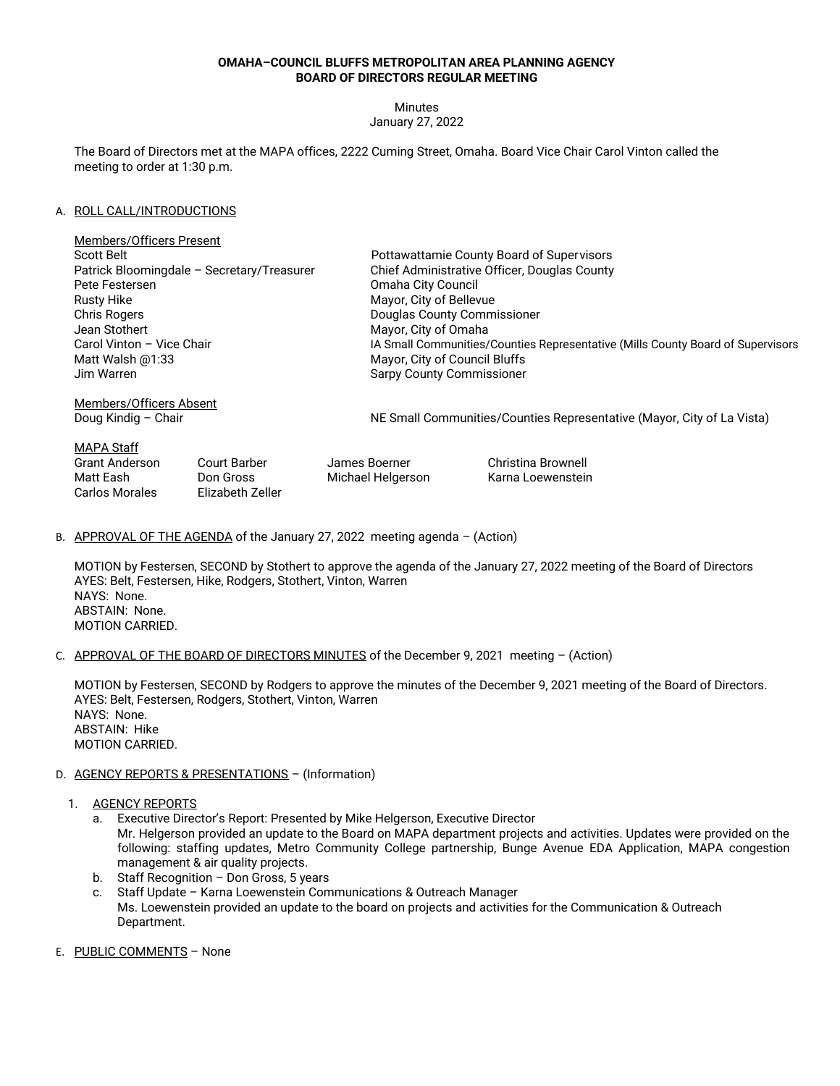## **OMAHA–COUNCIL BLUFFS METROPOLITAN AREA PLANNING AGENCY BOARD OF DIRECTORS REGULAR MEETING**

Minutes

January 27, 2022

The Board of Directors met at the MAPA offices, 2222 Cuming Street, Omaha. Board Vice Chair Carol Vinton called the meeting to order at 1:30 p.m.

## A. ROLL CALL/INTRODUCTIONS

Carlos Morales Elizabeth Zeller

| <b>Members/Officers Present</b>            |                           |                   |                                                                                 |  |
|--------------------------------------------|---------------------------|-------------------|---------------------------------------------------------------------------------|--|
| Scott Belt                                 |                           |                   | Pottawattamie County Board of Supervisors                                       |  |
| Patrick Bloomingdale - Secretary/Treasurer |                           |                   | Chief Administrative Officer, Douglas County                                    |  |
| Pete Festersen                             |                           |                   | Omaha City Council                                                              |  |
| <b>Rusty Hike</b>                          |                           |                   | Mayor, City of Bellevue                                                         |  |
| <b>Chris Rogers</b>                        |                           |                   | Douglas County Commissioner                                                     |  |
| Jean Stothert                              |                           |                   | Mayor, City of Omaha                                                            |  |
|                                            | Carol Vinton - Vice Chair |                   | IA Small Communities/Counties Representative (Mills County Board of Supervisors |  |
| Matt Walsh $@1:33$                         |                           |                   | Mayor, City of Council Bluffs                                                   |  |
| Jim Warren                                 |                           |                   | <b>Sarpy County Commissioner</b>                                                |  |
| Members/Officers Absent                    |                           |                   |                                                                                 |  |
| Doug Kindig – Chair                        |                           |                   | NE Small Communities/Counties Representative (Mayor, City of La Vista)          |  |
| <b>MAPA Staff</b>                          |                           |                   |                                                                                 |  |
| <b>Grant Anderson</b>                      | Court Barber              | James Boerner     | Christina Brownell                                                              |  |
| Matt Eash                                  | Don Gross                 | Michael Helgerson | Karna Loewenstein                                                               |  |

B. APPROVAL OF THE AGENDA of the January 27, 2022 meeting agenda - (Action)

MOTION by Festersen, SECOND by Stothert to approve the agenda of the January 27, 2022 meeting of the Board of Directors AYES: Belt, Festersen, Hike, Rodgers, Stothert, Vinton, Warren NAYS: None. ABSTAIN: None. MOTION CARRIED.

C. APPROVAL OF THE BOARD OF DIRECTORS MINUTES of the December 9, 2021 meeting – (Action)

MOTION by Festersen, SECOND by Rodgers to approve the minutes of the December 9, 2021 meeting of the Board of Directors. AYES: Belt, Festersen, Rodgers, Stothert, Vinton, Warren NAYS: None. ABSTAIN: Hike MOTION CARRIED.

## D. AGENCY REPORTS & PRESENTATIONS - (Information)

- 1. AGENCY REPORTS
	- a. Executive Director's Report: Presented by Mike Helgerson, Executive Director Mr. Helgerson provided an update to the Board on MAPA department projects and activities. Updates were provided on the following: staffing updates, Metro Community College partnership, Bunge Avenue EDA Application, MAPA congestion management & air quality projects.
	- b. Staff Recognition Don Gross, 5 years
	- c. Staff Update Karna Loewenstein Communications & Outreach Manager Ms. Loewenstein provided an update to the board on projects and activities for the Communication & Outreach Department.
- E. PUBLIC COMMENTS None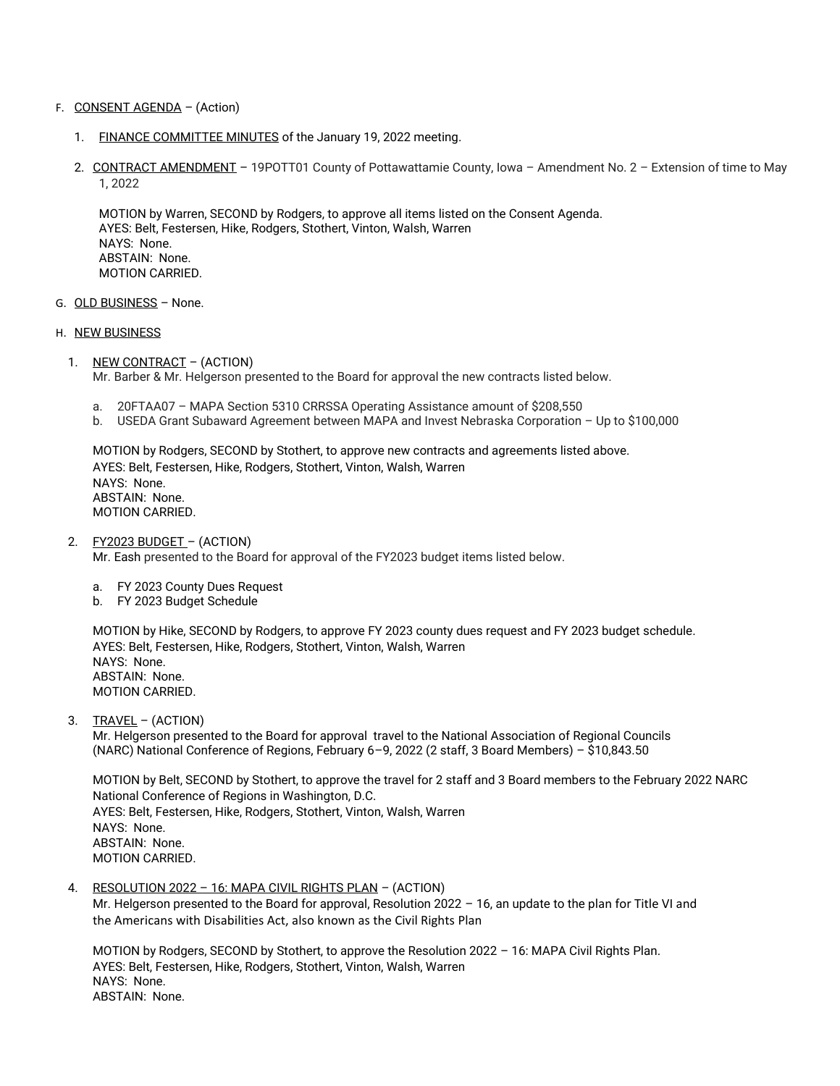- F. CONSENT AGENDA (Action)
	- 1. FINANCE COMMITTEE MINUTES of the January 19, 2022 meeting.
	- 2. CONTRACT AMENDMENT 19POTT01 County of Pottawattamie County, Iowa Amendment No. 2 Extension of time to May 1, 2022

MOTION by Warren, SECOND by Rodgers, to approve all items listed on the Consent Agenda. AYES: Belt, Festersen, Hike, Rodgers, Stothert, Vinton, Walsh, Warren NAYS: None. ABSTAIN: None. MOTION CARRIED.

- G. OLD BUSINESS None.
- H. NEW BUSINESS
	- 1. NEW CONTRACT (ACTION) Mr. Barber & Mr. Helgerson presented to the Board for approval the new contracts listed below.
		- a. 20FTAA07 MAPA Section 5310 CRRSSA Operating Assistance amount of \$208,550
		- b. USEDA Grant Subaward Agreement between MAPA and Invest Nebraska Corporation Up to \$100,000

MOTION by Rodgers, SECOND by Stothert, to approve new contracts and agreements listed above. AYES: Belt, Festersen, Hike, Rodgers, Stothert, Vinton, Walsh, Warren NAYS: None. ABSTAIN: None. MOTION CARRIED.

2. FY2023 BUDGET – (ACTION)

Mr. Eash presented to the Board for approval of the FY2023 budget items listed below.

- a. FY 2023 County Dues Request
- b. FY 2023 Budget Schedule

MOTION by Hike, SECOND by Rodgers, to approve FY 2023 county dues request and FY 2023 budget schedule. AYES: Belt, Festersen, Hike, Rodgers, Stothert, Vinton, Walsh, Warren NAYS: None. ABSTAIN: None. MOTION CARRIED.

3. TRAVEL – (ACTION)

Mr. Helgerson presented to the Board for approval travel to the National Association of Regional Councils (NARC) National Conference of Regions, February 6–9, 2022 (2 staff, 3 Board Members) – \$10,843.50

MOTION by Belt, SECOND by Stothert, to approve the travel for 2 staff and 3 Board members to the February 2022 NARC National Conference of Regions in Washington, D.C. AYES: Belt, Festersen, Hike, Rodgers, Stothert, Vinton, Walsh, Warren NAYS: None. ABSTAIN: None. MOTION CARRIED.

4. RESOLUTION 2022 – 16: MAPA CIVIL RIGHTS PLAN – (ACTION)

Mr. Helgerson presented to the Board for approval, Resolution 2022 – 16, an update to the plan for Title VI and the Americans with Disabilities Act, also known as the Civil Rights Plan

MOTION by Rodgers, SECOND by Stothert, to approve the Resolution 2022 – 16: MAPA Civil Rights Plan. AYES: Belt, Festersen, Hike, Rodgers, Stothert, Vinton, Walsh, Warren NAYS: None. ABSTAIN: None.